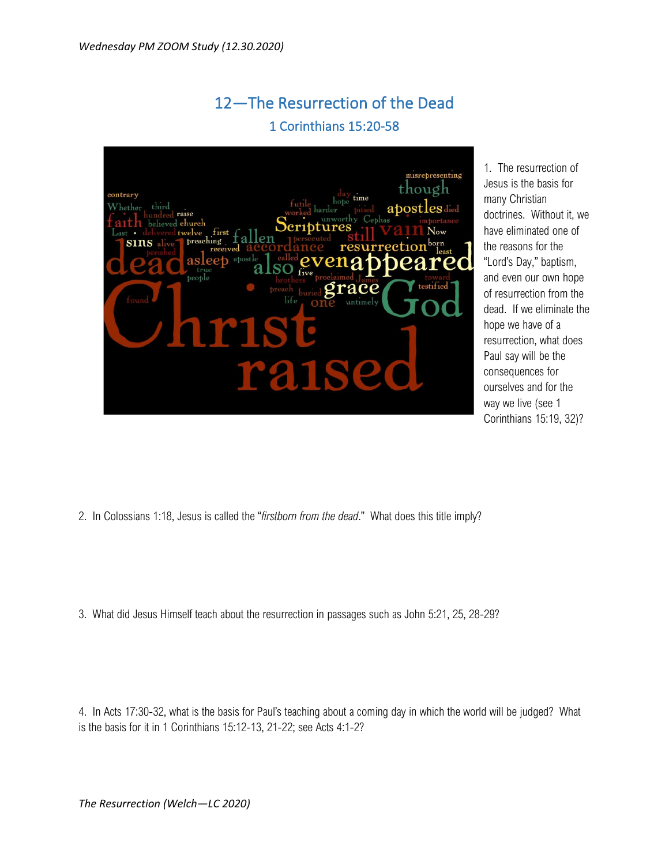## 12—The Resurrection of the Dead 1 Corinthians 15:20-58



1. The resurrection of Jesus is the basis for many Christian doctrines. Without it, we have eliminated one of the reasons for the "Lord's Day," baptism, and even our own hope of resurrection from the dead. If we eliminate the hope we have of a resurrection, what does Paul say will be the consequences for ourselves and for the way we live (see 1 Corinthians 15:19, 32)?

- 2. In Colossians 1:18, Jesus is called the "*firstborn from the dead*." What does this title imply?
- 3. What did Jesus Himself teach about the resurrection in passages such as John 5:21, 25, 28-29?

4. In Acts 17:30-32, what is the basis for Paul's teaching about a coming day in which the world will be judged? What is the basis for it in 1 Corinthians 15:12-13, 21-22; see Acts 4:1-2?